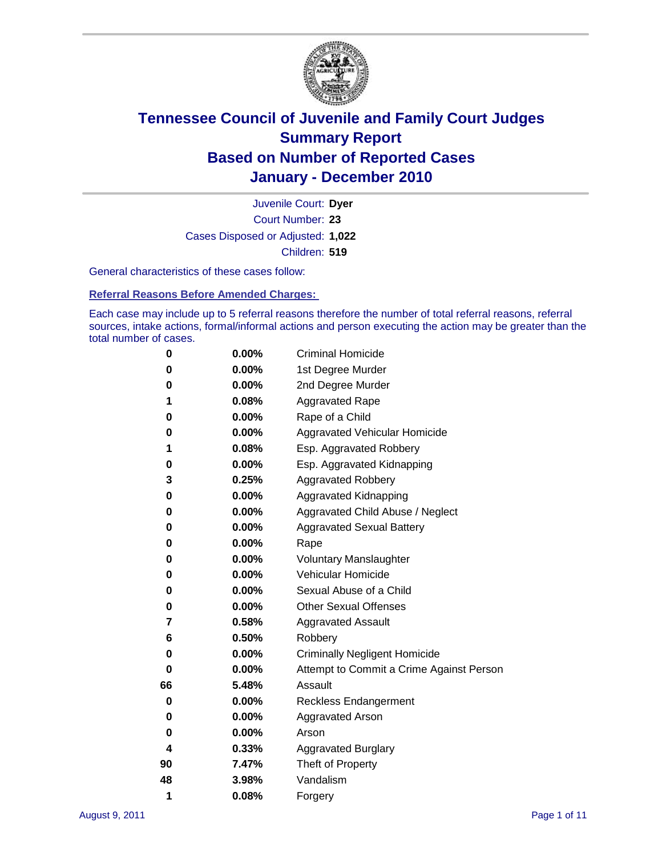

Court Number: **23** Juvenile Court: **Dyer** Cases Disposed or Adjusted: **1,022** Children: **519**

General characteristics of these cases follow:

**Referral Reasons Before Amended Charges:** 

Each case may include up to 5 referral reasons therefore the number of total referral reasons, referral sources, intake actions, formal/informal actions and person executing the action may be greater than the total number of cases.

| 0  | 0.00% | <b>Criminal Homicide</b>                 |
|----|-------|------------------------------------------|
| 0  | 0.00% | 1st Degree Murder                        |
| 0  | 0.00% | 2nd Degree Murder                        |
| 1  | 0.08% | <b>Aggravated Rape</b>                   |
| 0  | 0.00% | Rape of a Child                          |
| 0  | 0.00% | Aggravated Vehicular Homicide            |
| 1  | 0.08% | Esp. Aggravated Robbery                  |
| 0  | 0.00% | Esp. Aggravated Kidnapping               |
| 3  | 0.25% | <b>Aggravated Robbery</b>                |
| 0  | 0.00% | Aggravated Kidnapping                    |
| 0  | 0.00% | Aggravated Child Abuse / Neglect         |
| 0  | 0.00% | <b>Aggravated Sexual Battery</b>         |
| 0  | 0.00% | Rape                                     |
| 0  | 0.00% | <b>Voluntary Manslaughter</b>            |
| 0  | 0.00% | Vehicular Homicide                       |
| 0  | 0.00% | Sexual Abuse of a Child                  |
| 0  | 0.00% | <b>Other Sexual Offenses</b>             |
| 7  | 0.58% | <b>Aggravated Assault</b>                |
| 6  | 0.50% | Robbery                                  |
| 0  | 0.00% | <b>Criminally Negligent Homicide</b>     |
| 0  | 0.00% | Attempt to Commit a Crime Against Person |
| 66 | 5.48% | Assault                                  |
| 0  | 0.00% | <b>Reckless Endangerment</b>             |
| 0  | 0.00% | <b>Aggravated Arson</b>                  |
| 0  | 0.00% | Arson                                    |
| 4  | 0.33% | <b>Aggravated Burglary</b>               |
| 90 | 7.47% | Theft of Property                        |
| 48 | 3.98% | Vandalism                                |
| 1  | 0.08% | Forgery                                  |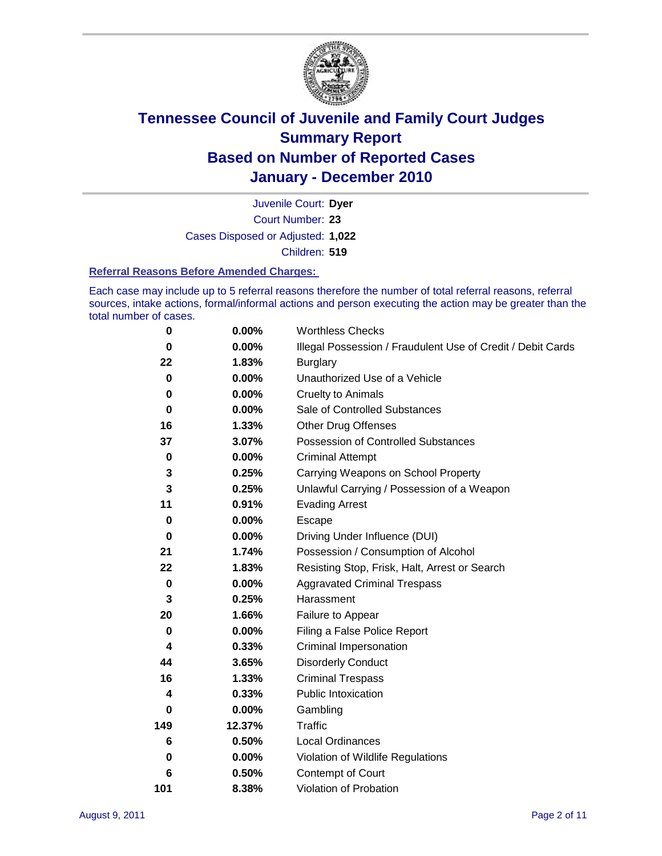

Court Number: **23** Juvenile Court: **Dyer** Cases Disposed or Adjusted: **1,022** Children: **519**

#### **Referral Reasons Before Amended Charges:**

Each case may include up to 5 referral reasons therefore the number of total referral reasons, referral sources, intake actions, formal/informal actions and person executing the action may be greater than the total number of cases.

| $\pmb{0}$   | 0.00%    | <b>Worthless Checks</b>                                     |
|-------------|----------|-------------------------------------------------------------|
| 0           | $0.00\%$ | Illegal Possession / Fraudulent Use of Credit / Debit Cards |
| 22          | 1.83%    | <b>Burglary</b>                                             |
| $\bf{0}$    | $0.00\%$ | Unauthorized Use of a Vehicle                               |
| 0           | $0.00\%$ | <b>Cruelty to Animals</b>                                   |
| $\bf{0}$    | $0.00\%$ | Sale of Controlled Substances                               |
| 16          | 1.33%    | <b>Other Drug Offenses</b>                                  |
| 37          | 3.07%    | Possession of Controlled Substances                         |
| $\pmb{0}$   | $0.00\%$ | <b>Criminal Attempt</b>                                     |
| 3           | 0.25%    | Carrying Weapons on School Property                         |
| 3           | 0.25%    | Unlawful Carrying / Possession of a Weapon                  |
| 11          | 0.91%    | <b>Evading Arrest</b>                                       |
| 0           | 0.00%    | Escape                                                      |
| 0           | $0.00\%$ | Driving Under Influence (DUI)                               |
| 21          | 1.74%    | Possession / Consumption of Alcohol                         |
| 22          | 1.83%    | Resisting Stop, Frisk, Halt, Arrest or Search               |
| $\mathbf 0$ | $0.00\%$ | <b>Aggravated Criminal Trespass</b>                         |
| 3           | 0.25%    | Harassment                                                  |
| 20          | 1.66%    | Failure to Appear                                           |
| $\mathbf 0$ | $0.00\%$ | Filing a False Police Report                                |
| 4           | 0.33%    | Criminal Impersonation                                      |
| 44          | 3.65%    | <b>Disorderly Conduct</b>                                   |
| 16          | 1.33%    | <b>Criminal Trespass</b>                                    |
| 4           | 0.33%    | <b>Public Intoxication</b>                                  |
| 0           | 0.00%    | Gambling                                                    |
| 149         | 12.37%   | <b>Traffic</b>                                              |
| 6           | 0.50%    | Local Ordinances                                            |
| 0           | 0.00%    | Violation of Wildlife Regulations                           |
| 6           | 0.50%    | Contempt of Court                                           |
| 101         | 8.38%    | Violation of Probation                                      |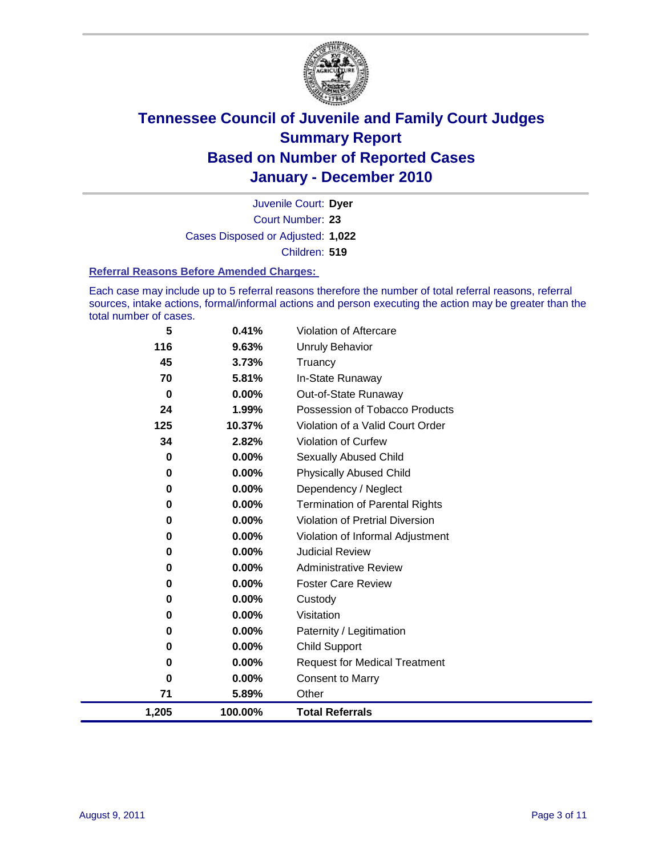

Court Number: **23** Juvenile Court: **Dyer** Cases Disposed or Adjusted: **1,022** Children: **519**

#### **Referral Reasons Before Amended Charges:**

Each case may include up to 5 referral reasons therefore the number of total referral reasons, referral sources, intake actions, formal/informal actions and person executing the action may be greater than the total number of cases.

| 5           | 0.41%    | Violation of Aftercare                 |
|-------------|----------|----------------------------------------|
| 116         | 9.63%    | <b>Unruly Behavior</b>                 |
| 45          | 3.73%    | Truancy                                |
| 70          | 5.81%    | In-State Runaway                       |
| 0           | $0.00\%$ | Out-of-State Runaway                   |
| 24          | 1.99%    | Possession of Tobacco Products         |
| 125         | 10.37%   | Violation of a Valid Court Order       |
| 34          | 2.82%    | Violation of Curfew                    |
| 0           | $0.00\%$ | Sexually Abused Child                  |
| $\mathbf 0$ | 0.00%    | <b>Physically Abused Child</b>         |
| $\mathbf 0$ | 0.00%    | Dependency / Neglect                   |
| $\mathbf 0$ | 0.00%    | <b>Termination of Parental Rights</b>  |
| $\mathbf 0$ | 0.00%    | <b>Violation of Pretrial Diversion</b> |
| 0           | 0.00%    | Violation of Informal Adjustment       |
| 0           | $0.00\%$ | <b>Judicial Review</b>                 |
| 0           | $0.00\%$ | <b>Administrative Review</b>           |
| 0           | 0.00%    | <b>Foster Care Review</b>              |
| 0           | 0.00%    | Custody                                |
| 0           | 0.00%    | Visitation                             |
| 0           | 0.00%    | Paternity / Legitimation               |
| 0           | 0.00%    | <b>Child Support</b>                   |
| $\bf{0}$    | 0.00%    | <b>Request for Medical Treatment</b>   |
| 0           | 0.00%    | <b>Consent to Marry</b>                |
| 71          | 5.89%    | Other                                  |
| 1,205       | 100.00%  | <b>Total Referrals</b>                 |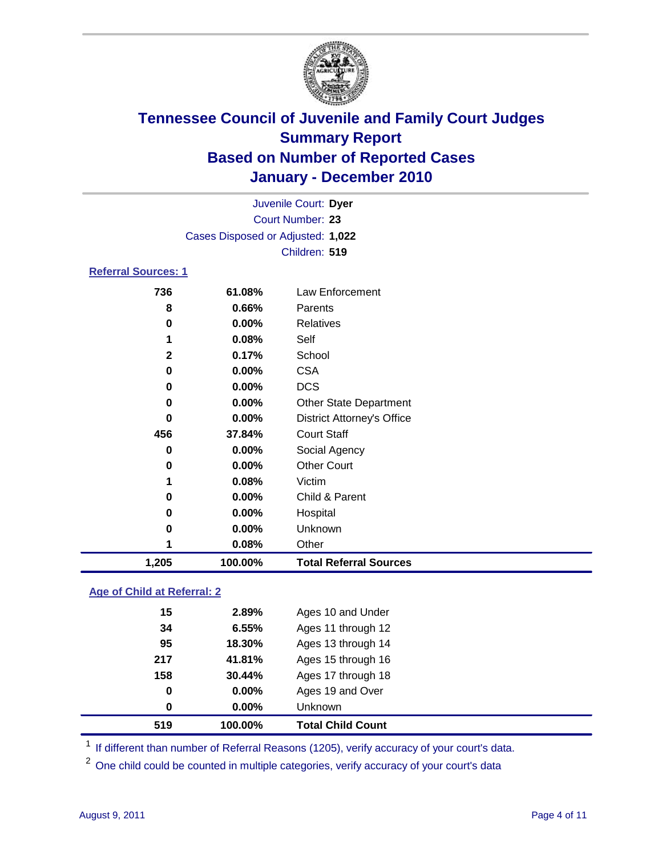

|                            |                                   | Juvenile Court: Dyer              |
|----------------------------|-----------------------------------|-----------------------------------|
|                            |                                   | Court Number: 23                  |
|                            | Cases Disposed or Adjusted: 1,022 |                                   |
|                            |                                   | Children: 519                     |
| <b>Referral Sources: 1</b> |                                   |                                   |
| 736                        | 61.08%                            | Law Enforcement                   |
| 8                          | $0.66\%$                          | Parents                           |
| 0                          | $0.00\%$                          | <b>Relatives</b>                  |
| 1                          | 0.08%                             | Self                              |
| $\mathbf{2}$               | 0.17%                             | School                            |
| 0                          | $0.00\%$                          | <b>CSA</b>                        |
| 0                          | $0.00\%$                          | <b>DCS</b>                        |
| 0                          | $0.00\%$                          | <b>Other State Department</b>     |
| 0                          | $0.00\%$                          | <b>District Attorney's Office</b> |
| 456                        | 37.84%                            | <b>Court Staff</b>                |
| 0                          | $0.00\%$                          | Social Agency                     |
| 0                          | $0.00\%$                          | <b>Other Court</b>                |

| 1,205 | 100.00%  | <b>Total Referral Sources</b> |  |
|-------|----------|-------------------------------|--|
|       | 0.08%    | Other                         |  |
| 0     | $0.00\%$ | <b>Unknown</b>                |  |
| 0     | $0.00\%$ | Hospital                      |  |
| 0     | $0.00\%$ | Child & Parent                |  |
|       | $0.08\%$ | Victim                        |  |

### **Age of Child at Referral: 2**

| 519 | 100.00% | <b>Total Child Count</b> |
|-----|---------|--------------------------|
| 0   | 0.00%   | <b>Unknown</b>           |
| 0   | 0.00%   | Ages 19 and Over         |
| 158 | 30.44%  | Ages 17 through 18       |
| 217 | 41.81%  | Ages 15 through 16       |
| 95  | 18.30%  | Ages 13 through 14       |
| 34  | 6.55%   | Ages 11 through 12       |
| 15  | 2.89%   | Ages 10 and Under        |
|     |         |                          |

<sup>1</sup> If different than number of Referral Reasons (1205), verify accuracy of your court's data.

<sup>2</sup> One child could be counted in multiple categories, verify accuracy of your court's data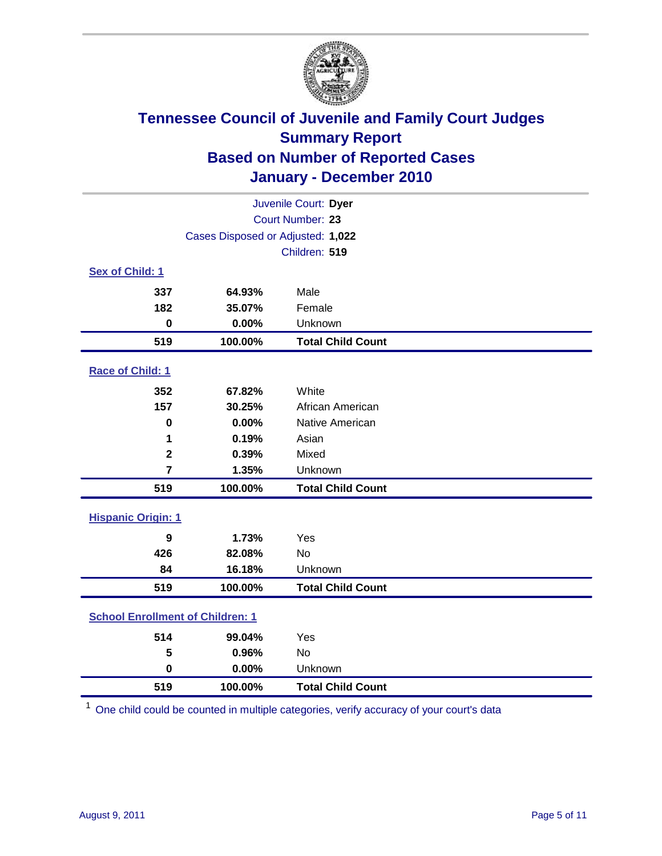

|                                         |                                   | Juvenile Court: Dyer     |  |  |
|-----------------------------------------|-----------------------------------|--------------------------|--|--|
| Court Number: 23                        |                                   |                          |  |  |
|                                         | Cases Disposed or Adjusted: 1,022 |                          |  |  |
|                                         |                                   | Children: 519            |  |  |
| Sex of Child: 1                         |                                   |                          |  |  |
| 337                                     | 64.93%                            | Male                     |  |  |
| 182                                     | 35.07%                            | Female                   |  |  |
| $\mathbf 0$                             | 0.00%                             | Unknown                  |  |  |
| 519                                     | 100.00%                           | <b>Total Child Count</b> |  |  |
| Race of Child: 1                        |                                   |                          |  |  |
| 352                                     | 67.82%                            | White                    |  |  |
| 157                                     | 30.25%                            | African American         |  |  |
| $\mathbf 0$                             | 0.00%                             | Native American          |  |  |
| 1                                       | 0.19%                             | Asian                    |  |  |
| $\overline{\mathbf{2}}$                 | 0.39%                             | Mixed                    |  |  |
| $\overline{7}$                          | 1.35%                             | Unknown                  |  |  |
| 519                                     | 100.00%                           | <b>Total Child Count</b> |  |  |
| <b>Hispanic Origin: 1</b>               |                                   |                          |  |  |
| 9                                       | 1.73%                             | Yes                      |  |  |
| 426                                     | 82.08%                            | <b>No</b>                |  |  |
| 84                                      | 16.18%                            | Unknown                  |  |  |
| 519                                     | 100.00%                           | <b>Total Child Count</b> |  |  |
| <b>School Enrollment of Children: 1</b> |                                   |                          |  |  |
| 514                                     | 99.04%                            | Yes                      |  |  |
| 5                                       | 0.96%                             | No                       |  |  |
| $\mathbf 0$                             | 0.00%                             | Unknown                  |  |  |
| 519                                     | 100.00%                           | <b>Total Child Count</b> |  |  |

One child could be counted in multiple categories, verify accuracy of your court's data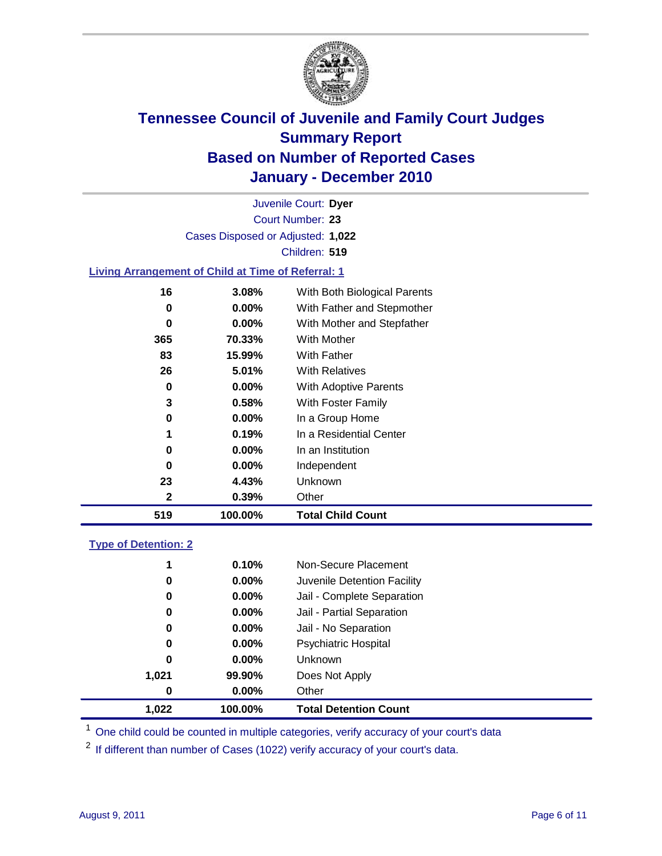

Court Number: **23** Juvenile Court: **Dyer** Cases Disposed or Adjusted: **1,022** Children: **519**

#### **Living Arrangement of Child at Time of Referral: 1**

| 519 | 100.00%  | <b>Total Child Count</b>     |
|-----|----------|------------------------------|
| 2   | 0.39%    | Other                        |
| 23  | 4.43%    | Unknown                      |
| 0   | $0.00\%$ | Independent                  |
| 0   | $0.00\%$ | In an Institution            |
|     | 0.19%    | In a Residential Center      |
| 0   | $0.00\%$ | In a Group Home              |
| 3   | 0.58%    | With Foster Family           |
| 0   | 0.00%    | With Adoptive Parents        |
| 26  | $5.01\%$ | <b>With Relatives</b>        |
| 83  | 15.99%   | With Father                  |
| 365 | 70.33%   | With Mother                  |
| 0   | 0.00%    | With Mother and Stepfather   |
| 0   | $0.00\%$ | With Father and Stepmother   |
| 16  | 3.08%    | With Both Biological Parents |
|     |          |                              |

#### **Type of Detention: 2**

| 1.022    | 100.00%  | <b>Total Detention Count</b> |  |
|----------|----------|------------------------------|--|
| $\bf{0}$ | $0.00\%$ | Other                        |  |
| 1,021    | 99.90%   | Does Not Apply               |  |
| 0        | $0.00\%$ | <b>Unknown</b>               |  |
| 0        | 0.00%    | <b>Psychiatric Hospital</b>  |  |
| 0        | 0.00%    | Jail - No Separation         |  |
| 0        | $0.00\%$ | Jail - Partial Separation    |  |
| 0        | $0.00\%$ | Jail - Complete Separation   |  |
| 0        | 0.00%    | Juvenile Detention Facility  |  |
| 1        | 0.10%    | Non-Secure Placement         |  |
|          |          |                              |  |

<sup>1</sup> One child could be counted in multiple categories, verify accuracy of your court's data

<sup>2</sup> If different than number of Cases (1022) verify accuracy of your court's data.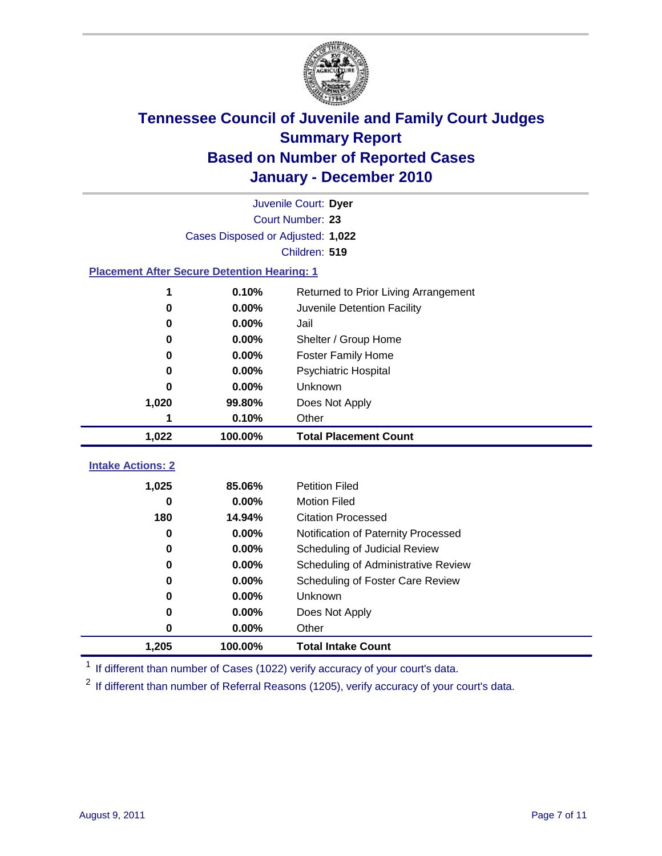

|                                                    | Juvenile Court: Dyer              |                                      |  |  |  |  |  |
|----------------------------------------------------|-----------------------------------|--------------------------------------|--|--|--|--|--|
|                                                    | Court Number: 23                  |                                      |  |  |  |  |  |
|                                                    | Cases Disposed or Adjusted: 1,022 |                                      |  |  |  |  |  |
|                                                    | Children: 519                     |                                      |  |  |  |  |  |
| <b>Placement After Secure Detention Hearing: 1</b> |                                   |                                      |  |  |  |  |  |
| 1                                                  | 0.10%                             | Returned to Prior Living Arrangement |  |  |  |  |  |
| 0                                                  | 0.00%                             | Juvenile Detention Facility          |  |  |  |  |  |
| 0                                                  | 0.00%                             | Jail                                 |  |  |  |  |  |
| $\bf{0}$                                           | 0.00%                             | Shelter / Group Home                 |  |  |  |  |  |
| 0                                                  | $0.00\%$                          | <b>Foster Family Home</b>            |  |  |  |  |  |
| O                                                  | 0.00%                             | Psychiatric Hospital                 |  |  |  |  |  |
| 0                                                  | 0.00%                             | Unknown                              |  |  |  |  |  |
| 1,020                                              | 99.80%                            | Does Not Apply                       |  |  |  |  |  |
| 1                                                  | 0.10%                             | Other                                |  |  |  |  |  |
| 1,022                                              | 100.00%                           | <b>Total Placement Count</b>         |  |  |  |  |  |
| <b>Intake Actions: 2</b>                           |                                   |                                      |  |  |  |  |  |
| 1,025                                              | 85.06%                            | <b>Petition Filed</b>                |  |  |  |  |  |
| 0                                                  | 0.00%                             | <b>Motion Filed</b>                  |  |  |  |  |  |
| 180                                                | 14.94%                            | <b>Citation Processed</b>            |  |  |  |  |  |
| 0                                                  | 0.00%                             | Notification of Paternity Processed  |  |  |  |  |  |
| 0                                                  | 0.00%                             | Scheduling of Judicial Review        |  |  |  |  |  |
| 0                                                  | 0.00%                             | Scheduling of Administrative Review  |  |  |  |  |  |
| 0                                                  | 0.00%                             | Scheduling of Foster Care Review     |  |  |  |  |  |
| 0                                                  | 0.00%                             | Unknown                              |  |  |  |  |  |
| 0                                                  | 0.00%                             | Does Not Apply                       |  |  |  |  |  |
|                                                    |                                   |                                      |  |  |  |  |  |

**1,205 100.00% Total Intake Count** <sup>1</sup> If different than number of Cases (1022) verify accuracy of your court's data.

<sup>2</sup> If different than number of Referral Reasons (1205), verify accuracy of your court's data.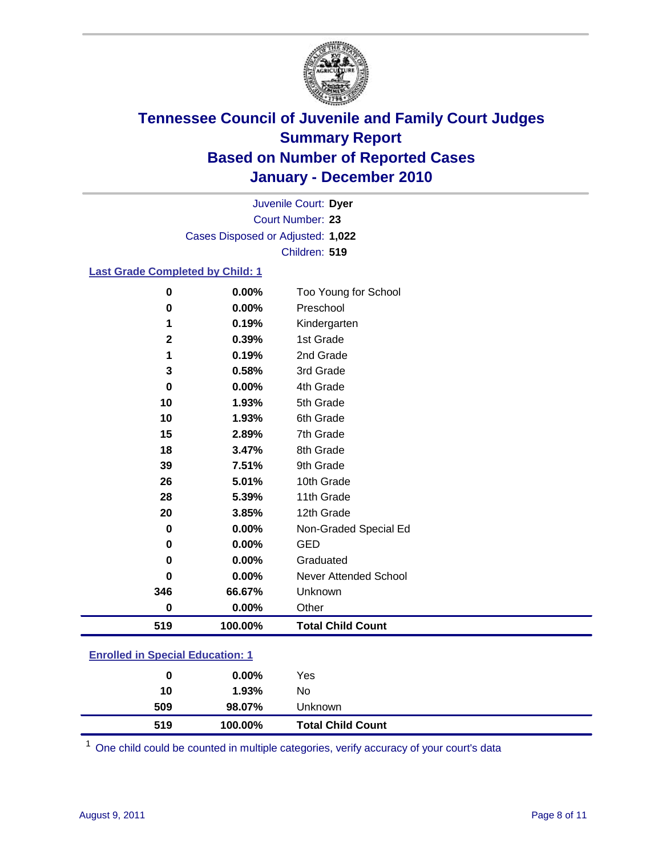

Court Number: **23** Juvenile Court: **Dyer** Cases Disposed or Adjusted: **1,022** Children: **519**

#### **Last Grade Completed by Child: 1**

| 519                  | 100.00%        | <b>Total Child Count</b>          |
|----------------------|----------------|-----------------------------------|
| $\mathbf 0$          | 0.00%          | Other                             |
| 346                  | 66.67%         | Unknown                           |
| 0                    | 0.00%          | Never Attended School             |
| 0                    | 0.00%          | Graduated                         |
| 0                    | 0.00%          | <b>GED</b>                        |
| $\bf{0}$             | 0.00%          | Non-Graded Special Ed             |
| 20                   | 3.85%          | 12th Grade                        |
| 28                   | 5.39%          | 11th Grade                        |
| 26                   | 5.01%          | 10th Grade                        |
| 39                   | 7.51%          | 9th Grade                         |
| 18                   | 3.47%          | 8th Grade                         |
| 15                   | 2.89%          | 7th Grade                         |
| 10                   | 1.93%          | 6th Grade                         |
| 10                   | 1.93%          | 5th Grade                         |
| 0                    | 0.00%          | 4th Grade                         |
| $\mathbf 3$          | 0.58%          | 3rd Grade                         |
| 1                    | 0.19%          | 2nd Grade                         |
| $\mathbf 2$          | 0.39%          | 1st Grade                         |
|                      | 0.19%          | Kindergarten                      |
| $\bf{0}$<br>$\bf{0}$ | 0.00%<br>0.00% | Too Young for School<br>Preschool |

### **Enrolled in Special Education: 1**

| 519 | 100.00%  | <b>Total Child Count</b> |  |
|-----|----------|--------------------------|--|
| 509 | 98.07%   | Unknown                  |  |
| 10  | 1.93%    | No                       |  |
| 0   | $0.00\%$ | Yes                      |  |
|     |          |                          |  |

One child could be counted in multiple categories, verify accuracy of your court's data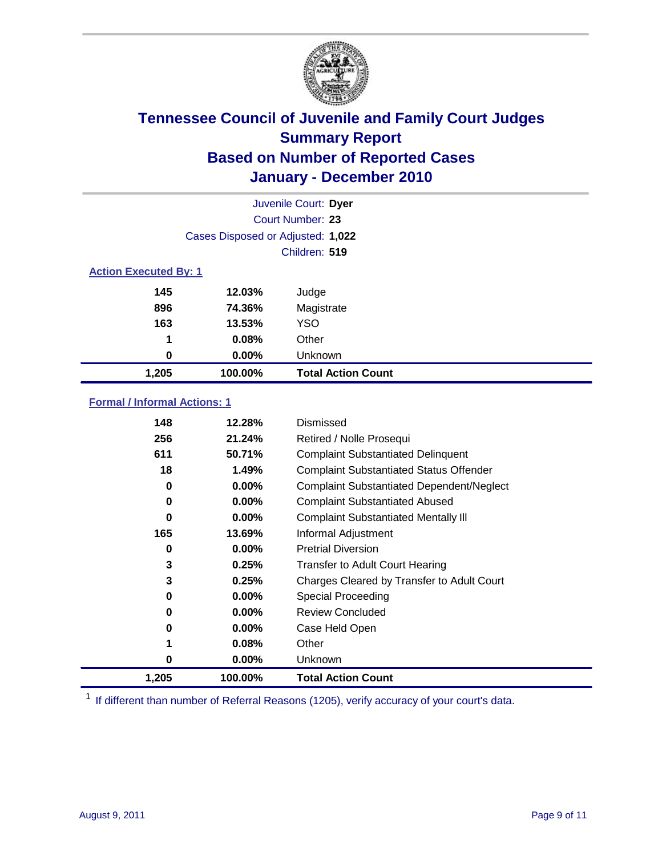

|                              |                                   | Juvenile Court: Dyer      |
|------------------------------|-----------------------------------|---------------------------|
|                              |                                   | <b>Court Number: 23</b>   |
|                              | Cases Disposed or Adjusted: 1,022 |                           |
|                              |                                   | Children: 519             |
| <b>Action Executed By: 1</b> |                                   |                           |
| 145                          | 12.03%                            | Judge                     |
| 896                          | 74.36%                            | Magistrate                |
| 163                          | 13.53%                            | <b>YSO</b>                |
| 1                            | 0.08%                             | Other                     |
| 0                            | 0.00%                             | Unknown                   |
| 1,205                        | 100.00%                           | <b>Total Action Count</b> |

### **Formal / Informal Actions: 1**

| 148   | 12.28%   | Dismissed                                        |
|-------|----------|--------------------------------------------------|
| 256   | 21.24%   | Retired / Nolle Prosequi                         |
| 611   | 50.71%   | <b>Complaint Substantiated Delinquent</b>        |
| 18    | 1.49%    | <b>Complaint Substantiated Status Offender</b>   |
| 0     | $0.00\%$ | <b>Complaint Substantiated Dependent/Neglect</b> |
| 0     | $0.00\%$ | <b>Complaint Substantiated Abused</b>            |
| 0     | $0.00\%$ | <b>Complaint Substantiated Mentally III</b>      |
| 165   | 13.69%   | Informal Adjustment                              |
| 0     | $0.00\%$ | <b>Pretrial Diversion</b>                        |
| 3     | 0.25%    | <b>Transfer to Adult Court Hearing</b>           |
| 3     | 0.25%    | Charges Cleared by Transfer to Adult Court       |
| 0     | $0.00\%$ | Special Proceeding                               |
| 0     | 0.00%    | <b>Review Concluded</b>                          |
| 0     | $0.00\%$ | Case Held Open                                   |
|       | 0.08%    | Other                                            |
| 0     | $0.00\%$ | <b>Unknown</b>                                   |
| 1,205 | 100.00%  | <b>Total Action Count</b>                        |

<sup>1</sup> If different than number of Referral Reasons (1205), verify accuracy of your court's data.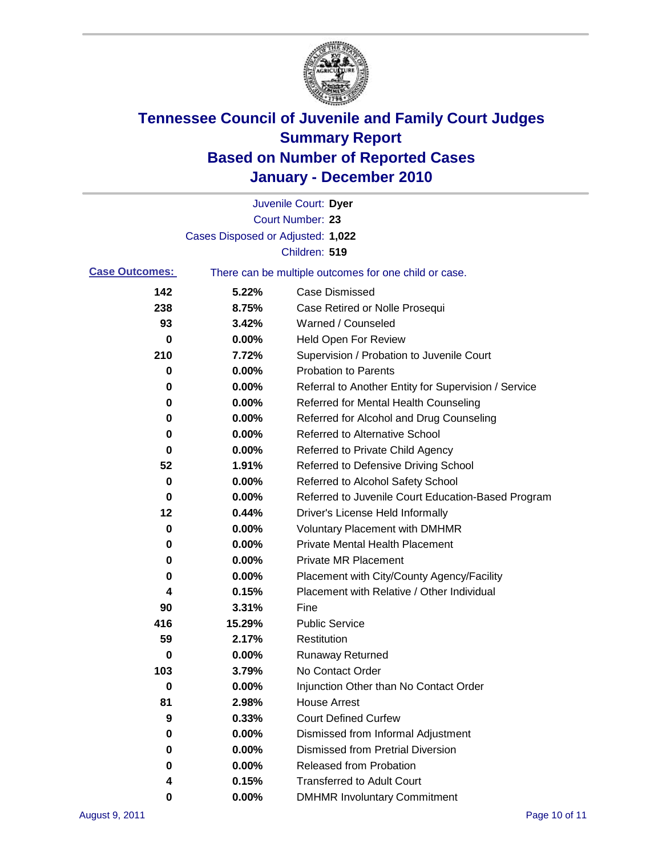

|                       |                                   | Juvenile Court: Dyer                                  |
|-----------------------|-----------------------------------|-------------------------------------------------------|
|                       |                                   | Court Number: 23                                      |
|                       | Cases Disposed or Adjusted: 1,022 |                                                       |
|                       |                                   | Children: 519                                         |
| <b>Case Outcomes:</b> |                                   | There can be multiple outcomes for one child or case. |
| 142                   | 5.22%                             | <b>Case Dismissed</b>                                 |
| 238                   | 8.75%                             | Case Retired or Nolle Prosequi                        |
| 93                    | 3.42%                             | Warned / Counseled                                    |
| 0                     | 0.00%                             | Held Open For Review                                  |
| 210                   | 7.72%                             | Supervision / Probation to Juvenile Court             |
| 0                     | 0.00%                             | <b>Probation to Parents</b>                           |
| 0                     | 0.00%                             | Referral to Another Entity for Supervision / Service  |
| 0                     | 0.00%                             | Referred for Mental Health Counseling                 |
| 0                     | 0.00%                             | Referred for Alcohol and Drug Counseling              |
| 0                     | 0.00%                             | <b>Referred to Alternative School</b>                 |
| 0                     | 0.00%                             | Referred to Private Child Agency                      |
| 52                    | 1.91%                             | Referred to Defensive Driving School                  |
| 0                     | 0.00%                             | Referred to Alcohol Safety School                     |
| 0                     | 0.00%                             | Referred to Juvenile Court Education-Based Program    |
| 12                    | 0.44%                             | Driver's License Held Informally                      |
| 0                     | 0.00%                             | <b>Voluntary Placement with DMHMR</b>                 |
| 0                     | 0.00%                             | <b>Private Mental Health Placement</b>                |
| 0                     | 0.00%                             | <b>Private MR Placement</b>                           |
| 0                     | 0.00%                             | Placement with City/County Agency/Facility            |
| 4                     | 0.15%                             | Placement with Relative / Other Individual            |
| 90                    | 3.31%                             | Fine                                                  |
| 416                   | 15.29%                            | <b>Public Service</b>                                 |
| 59                    | 2.17%                             | Restitution                                           |
| 0                     | 0.00%                             | <b>Runaway Returned</b>                               |
| 103                   | 3.79%                             | No Contact Order                                      |
| 0                     | 0.00%                             | Injunction Other than No Contact Order                |
| 81                    | 2.98%                             | <b>House Arrest</b>                                   |
| 9                     | 0.33%                             | <b>Court Defined Curfew</b>                           |
| 0                     | 0.00%                             | Dismissed from Informal Adjustment                    |
| 0                     | 0.00%                             | <b>Dismissed from Pretrial Diversion</b>              |
| 0                     | 0.00%                             | Released from Probation                               |
| 4                     | 0.15%                             | <b>Transferred to Adult Court</b>                     |
| 0                     | $0.00\%$                          | <b>DMHMR Involuntary Commitment</b>                   |